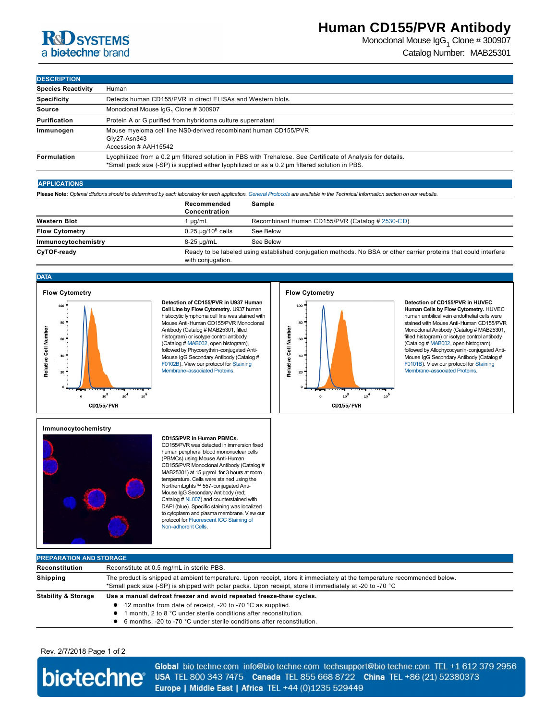# **R&D** SYSTEMS a biotechne brand

## **Human CD155/PVR Antibody**

Monoclonal Mouse IgG<sub>1</sub> Clone # 300907 Catalog Number: MAB25301

## **DESCRIPTION**

| <b>Species Reactivity</b> | Human                                                                                                                                                                                                         |  |  |
|---------------------------|---------------------------------------------------------------------------------------------------------------------------------------------------------------------------------------------------------------|--|--|
| <b>Specificity</b>        | Detects human CD155/PVR in direct ELISAs and Western blots.                                                                                                                                                   |  |  |
| Source                    | Monoclonal Mouse $\lg G_1$ Clone # 300907                                                                                                                                                                     |  |  |
| Purification              | Protein A or G purified from hybridoma culture supernatant                                                                                                                                                    |  |  |
| Immunogen                 | Mouse myeloma cell line NS0-derived recombinant human CD155/PVR<br>Gly27-Asn343<br>Accession # AAH15542                                                                                                       |  |  |
| Formulation               | Lyophilized from a 0.2 µm filtered solution in PBS with Trehalose. See Certificate of Analysis for details.<br>*Small pack size (-SP) is supplied either lyophilized or as a 0.2 µm filtered solution in PBS. |  |  |

## **APPLICATIONS**

**Please Note:** *Optimal dilutions should be determined by each laboratory for each application. [General Protocols](http://www.rndsystems.com/resources/protocols-troubleshooting-guides) are available in the Technical Information section on our website.*

|                       | Recommended<br>Concentration | Sample                                                                                                           |  |
|-----------------------|------------------------------|------------------------------------------------------------------------------------------------------------------|--|
| <b>Western Blot</b>   | ua/mL                        | Recombinant Human CD155/PVR (Catalog # 2530-CD)                                                                  |  |
| <b>Flow Cytometry</b> | $0.25 \mu q/10^6$ cells      | See Below                                                                                                        |  |
| Immunocytochemistry   | 8-25 µg/mL                   | See Below                                                                                                        |  |
| CyTOF-ready           | with conjugation.            | Ready to be labeled using established conjugation methods. No BSA or other carrier proteins that could interfere |  |

## **DATA**



**Detection of CD155/PVR in U937 Human Cell Line by Flow Cytometry.** U937 human histiocytic lymphoma cell line was stained with Mouse Anti-Human CD155/PVR Monoclonal Antibody (Catalog # MAB25301, filled histogram) or isotype control antibody (Catalog # [MAB002](http://www.rndsystems.com/product_results.aspx?k=MAB002), open histogram), followed by Phycoerythrin-conjugated Anti-[Mouse I](http://www.rndsystems.com/product_results.aspx?k=F0102B)gG Secondary Antibody (Catalog # [F0102B\). View our protocol for Staining](http://www.rndsystems.com/literature_flow_cytometry_staining_membrane.aspx) Membrane-associated Proteins.



**CD155/PVR** 

**Detection of CD155/PVR in HUVEC Human Cells by Flow Cytometry.** HUVEC human umbilical vein endothelial cells were stained with Mouse Anti-Human CD155/PVR Monoclonal Antibody (Catalog # MAB25301, filled histogram) or isotype control antibody (Catalog # [MAB002](http://www.rndsystems.com/product_results.aspx?k=MAB002), open histogram), followed by Allophycocyanin-conjugated Anti-[Mouse I](http://www.rndsystems.com/product_results.aspx?k=F0101B)gG Secondary Antibody (Catalog # [F0101B\). View our protocol for Staining](http://www.rndsystems.com/literature_flow_cytometry_staining_membrane.aspx) Membrane-associated Proteins.

## **Immunocytochemistry**



#### **CD155/PVR in Human PBMCs.**

CD155/PVR was detected in immersion fixed human peripheral blood mononuclear cells (PBMCs) using Mouse Anti-Human CD155/PVR Monoclonal Antibody (Catalog # MAB25301) at 15 µg/mL for 3 hours at room temperature. Cells were stained using the NorthernLights™ 557-conjugated Anti-Mouse IgG Secondary Antibody (red; Catalog # [NL007](http://www.rndsystems.com/search?keywords=NL007)) and counterstained with DAPI (blue). Specific staining was localized to cytoplasm and plasma membrane. View our [protocol for Fluorescent ICC Staining of](http://www.rndsystems.com/resources/protocols/protocol-preparation-and-fluorescent-icc-staining-non-adherent-cells)  Non-adherent Cells.

## **PREPARATION AND STORAGE Reconstitution** Reconstitute at 0.5 mg/mL in sterile PBS. **Shipping** The product is shipped at ambient temperature. Upon receipt, store it immediately at the temperature recommended below.  $^*$ Small pack size (-SP) is shipped with polar packs. Upon receipt, store it immediately at -20 to -70  $^{\circ}{\rm C}$ Stability & Storage Use a manual defrost freezer and avoid repeated freeze-thaw cycles. ● 12 months from date of receipt, -20 to -70 °C as supplied. **1** month, 2 to 8 °C under sterile conditions after reconstitution ● 6 months, -20 to -70 °C under sterile conditions after reconstitution.

## Rev. 2/7/2018 Page 1 of 2



Global bio-techne.com info@bio-techne.com techsupport@bio-techne.com TEL +1 612 379 2956 USA TEL 800 343 7475 Canada TEL 855 668 8722 China TEL +86 (21) 52380373 Europe | Middle East | Africa TEL +44 (0)1235 529449